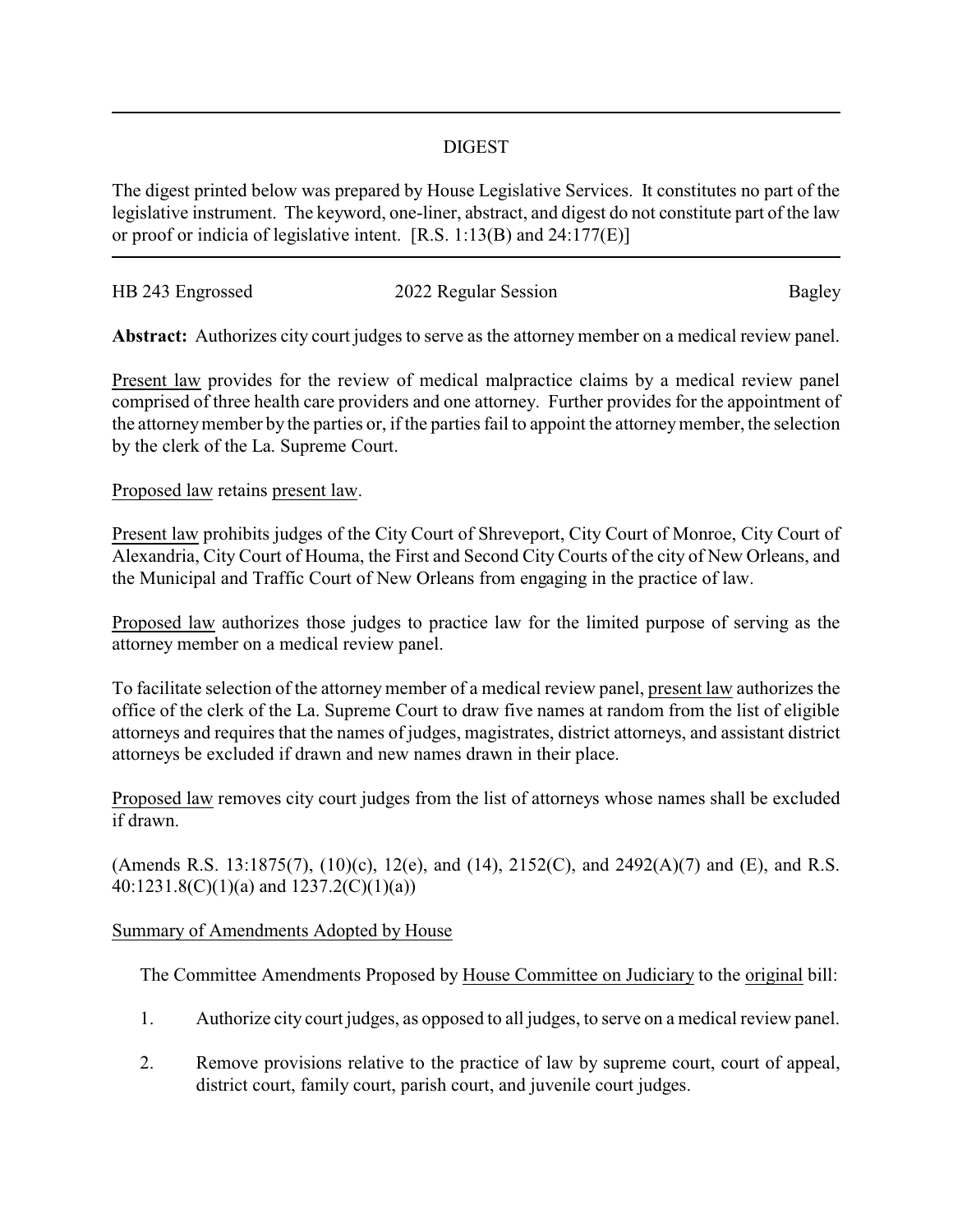## DIGEST

The digest printed below was prepared by House Legislative Services. It constitutes no part of the legislative instrument. The keyword, one-liner, abstract, and digest do not constitute part of the law or proof or indicia of legislative intent. [R.S. 1:13(B) and 24:177(E)]

| HB 243 Engrossed | 2022 Regular Session | Bagley |
|------------------|----------------------|--------|
|                  |                      |        |

**Abstract:** Authorizes city court judges to serve as the attorney member on a medical review panel.

Present law provides for the review of medical malpractice claims by a medical review panel comprised of three health care providers and one attorney. Further provides for the appointment of the attorneymember by the parties or, if the parties fail to appoint the attorneymember, the selection by the clerk of the La. Supreme Court.

## Proposed law retains present law.

Present law prohibits judges of the City Court of Shreveport, City Court of Monroe, City Court of Alexandria, City Court of Houma, the First and Second City Courts of the city of New Orleans, and the Municipal and Traffic Court of New Orleans from engaging in the practice of law.

Proposed law authorizes those judges to practice law for the limited purpose of serving as the attorney member on a medical review panel.

To facilitate selection of the attorney member of a medical review panel, present law authorizes the office of the clerk of the La. Supreme Court to draw five names at random from the list of eligible attorneys and requires that the names of judges, magistrates, district attorneys, and assistant district attorneys be excluded if drawn and new names drawn in their place.

Proposed law removes city court judges from the list of attorneys whose names shall be excluded if drawn.

(Amends R.S. 13:1875(7), (10)(c), 12(e), and (14), 2152(C), and 2492(A)(7) and (E), and R.S. 40:1231.8(C)(1)(a) and 1237.2(C)(1)(a))

## Summary of Amendments Adopted by House

The Committee Amendments Proposed by House Committee on Judiciary to the original bill:

- 1. Authorize city court judges, as opposed to all judges, to serve on a medical review panel.
- 2. Remove provisions relative to the practice of law by supreme court, court of appeal, district court, family court, parish court, and juvenile court judges.